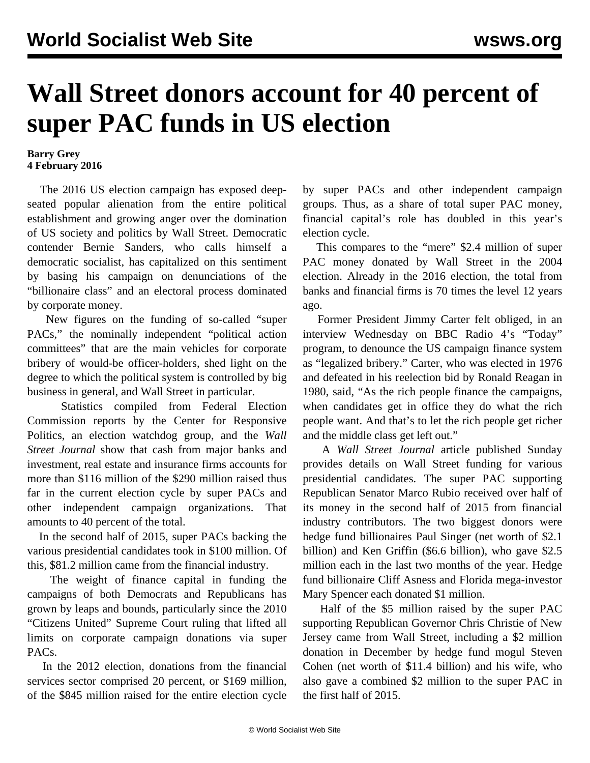## **Wall Street donors account for 40 percent of super PAC funds in US election**

## **Barry Grey 4 February 2016**

 The 2016 US election campaign has exposed deepseated popular alienation from the entire political establishment and growing anger over the domination of US society and politics by Wall Street. Democratic contender Bernie Sanders, who calls himself a democratic socialist, has capitalized on this sentiment by basing his campaign on denunciations of the "billionaire class" and an electoral process dominated by corporate money.

 New figures on the funding of so-called "super PACs," the nominally independent "political action committees" that are the main vehicles for corporate bribery of would-be officer-holders, shed light on the degree to which the political system is controlled by big business in general, and Wall Street in particular.

 Statistics compiled from Federal Election Commission reports by the Center for Responsive Politics, an election watchdog group, and the *Wall Street Journal* show that cash from major banks and investment, real estate and insurance firms accounts for more than \$116 million of the \$290 million raised thus far in the current election cycle by super PACs and other independent campaign organizations. That amounts to 40 percent of the total.

 In the second half of 2015, super PACs backing the various presidential candidates took in \$100 million. Of this, \$81.2 million came from the financial industry.

 The weight of finance capital in funding the campaigns of both Democrats and Republicans has grown by leaps and bounds, particularly since the 2010 "Citizens United" Supreme Court ruling that lifted all limits on corporate campaign donations via super PACs.

 In the 2012 election, donations from the financial services sector comprised 20 percent, or \$169 million, of the \$845 million raised for the entire election cycle by super PACs and other independent campaign groups. Thus, as a share of total super PAC money, financial capital's role has doubled in this year's election cycle.

 This compares to the "mere" \$2.4 million of super PAC money donated by Wall Street in the 2004 election. Already in the 2016 election, the total from banks and financial firms is 70 times the level 12 years ago.

 Former President Jimmy Carter felt obliged, in an interview Wednesday on BBC Radio 4's "Today" program, to denounce the US campaign finance system as "legalized bribery." Carter, who was elected in 1976 and defeated in his reelection bid by Ronald Reagan in 1980, said, "As the rich people finance the campaigns, when candidates get in office they do what the rich people want. And that's to let the rich people get richer and the middle class get left out."

 A *Wall Street Journal* article published Sunday provides details on Wall Street funding for various presidential candidates. The super PAC supporting Republican Senator Marco Rubio received over half of its money in the second half of 2015 from financial industry contributors. The two biggest donors were hedge fund billionaires Paul Singer (net worth of \$2.1 billion) and Ken Griffin (\$6.6 billion), who gave \$2.5 million each in the last two months of the year. Hedge fund billionaire Cliff Asness and Florida mega-investor Mary Spencer each donated \$1 million.

 Half of the \$5 million raised by the super PAC supporting Republican Governor Chris Christie of New Jersey came from Wall Street, including a \$2 million donation in December by hedge fund mogul Steven Cohen (net worth of \$11.4 billion) and his wife, who also gave a combined \$2 million to the super PAC in the first half of 2015.